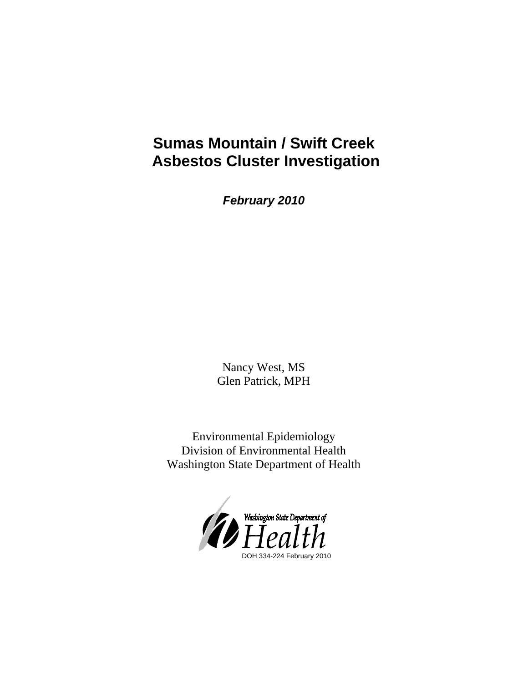# **Sumas Mountain / Swift Creek Asbestos Cluster Investigation**

*February 2010*

Nancy West, MS Glen Patrick, MPH

Environmental Epidemiology Division of Environmental Health Washington State Department of Health

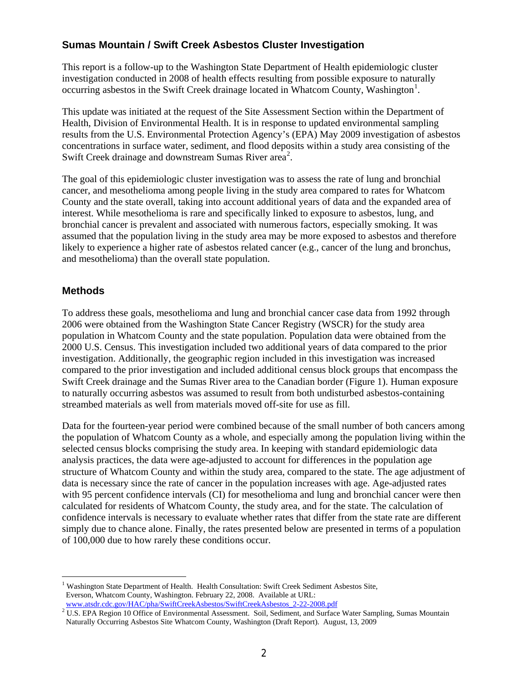## **Sumas Mountain / Swift Creek Asbestos Cluster Investigation**

This report is a follow-up to the Washington State Department of Health epidemiologic cluster investigation conducted in 2008 of health effects resulting from possible exposure to naturally occurring asbestos in the Swift Creek drainage located in Whatcom County, Washington<sup>[1](#page-1-0)</sup>.

This update was initiated at the request of the Site Assessment Section within the Department of Health, Division of Environmental Health. It is in response to updated environmental sampling results from the U.S. Environmental Protection Agency's (EPA) May 2009 investigation of asbestos concentrations in surface water, sediment, and flood deposits within a study area consisting of the Swift Creek drainage and downstream Sumas River area<sup>[2](#page-1-1)</sup>.

The goal of this epidemiologic cluster investigation was to assess the rate of lung and bronchial cancer, and mesothelioma among people living in the study area compared to rates for Whatcom County and the state overall, taking into account additional years of data and the expanded area of interest. While mesothelioma is rare and specifically linked to exposure to asbestos, lung, and bronchial cancer is prevalent and associated with numerous factors, especially smoking. It was assumed that the population living in the study area may be more exposed to asbestos and therefore likely to experience a higher rate of asbestos related cancer (e.g., cancer of the lung and bronchus, and mesothelioma) than the overall state population.

## **Methods**

 $\overline{a}$ 

To address these goals, mesothelioma and lung and bronchial cancer case data from 1992 through 2006 were obtained from the Washington State Cancer Registry (WSCR) for the study area population in Whatcom County and the state population. Population data were obtained from the 2000 U.S. Census. This investigation included two additional years of data compared to the prior investigation. Additionally, the geographic region included in this investigation was increased compared to the prior investigation and included additional census block groups that encompass the Swift Creek drainage and the Sumas River area to the Canadian border (Figure 1). Human exposure to naturally occurring asbestos was assumed to result from both undisturbed asbestos-containing streambed materials as well from materials moved off-site for use as fill.

Data for the fourteen-year period were combined because of the small number of both cancers among the population of Whatcom County as a whole, and especially among the population living within the selected census blocks comprising the study area. In keeping with standard epidemiologic data analysis practices, the data were age-adjusted to account for differences in the population age structure of Whatcom County and within the study area, compared to the state. The age adjustment of data is necessary since the rate of cancer in the population increases with age. Age-adjusted rates with 95 percent confidence intervals (CI) for mesothelioma and lung and bronchial cancer were then calculated for residents of Whatcom County, the study area, and for the state. The calculation of confidence intervals is necessary to evaluate whether rates that differ from the state rate are different simply due to chance alone. Finally, the rates presented below are presented in terms of a population of 100,000 due to how rarely these conditions occur.

<span id="page-1-0"></span><sup>&</sup>lt;sup>1</sup> Washington State Department of Health. Health Consultation: Swift Creek Sediment Asbestos Site, Everson, Whatcom County, Washington. February 22, 2008. Available at URL:<br>www.atsdr.cdc.gov/HAC/pha/SwiftCreekAsbestos/SwiftCreekAsbestos 2-22-2008.pdf

<span id="page-1-1"></span> $2$  U.S. EPA Region 10 Office of Environmental Assessment. Soil, Sediment, and Surface Water Sampling, Sumas Mountain Naturally Occurring Asbestos Site Whatcom County, Washington (Draft Report). August, 13, 2009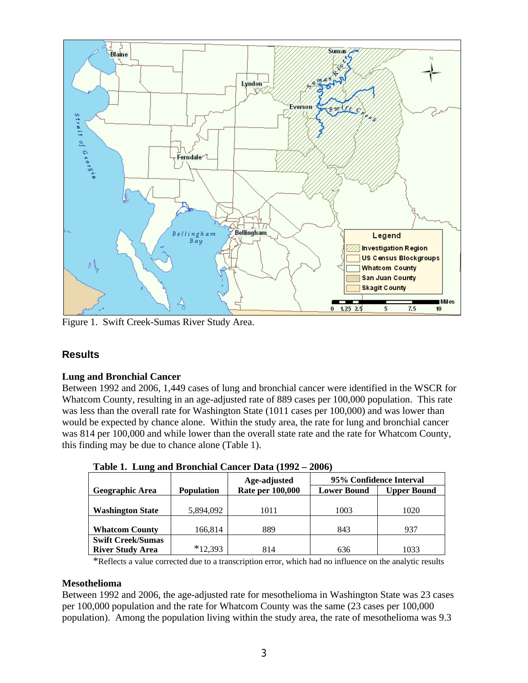

Figure 1. Swift Creek-Sumas River Study Area.

## **Results**

#### **Lung and Bronchial Cancer**

Between 1992 and 2006, 1,449 cases of lung and bronchial cancer were identified in the WSCR for Whatcom County, resulting in an age-adjusted rate of 889 cases per 100,000 population. This rate was less than the overall rate for Washington State (1011 cases per 100,000) and was lower than would be expected by chance alone. Within the study area, the rate for lung and bronchial cancer was 814 per 100,000 and while lower than the overall state rate and the rate for Whatcom County, this finding may be due to chance alone (Table 1).

| Table 1, Lung and Dronemar Cancel Data $(1772 - 2000)$ |                   |                         |                         |                    |  |  |  |
|--------------------------------------------------------|-------------------|-------------------------|-------------------------|--------------------|--|--|--|
|                                                        |                   | Age-adjusted            | 95% Confidence Interval |                    |  |  |  |
| <b>Geographic Area</b>                                 | <b>Population</b> | <b>Rate per 100,000</b> | <b>Lower Bound</b>      | <b>Upper Bound</b> |  |  |  |
|                                                        |                   |                         |                         |                    |  |  |  |
| <b>Washington State</b>                                | 5,894,092         | 1011                    | 1003                    | 1020               |  |  |  |
|                                                        |                   |                         |                         |                    |  |  |  |
| <b>Whatcom County</b>                                  | 166,814           | 889                     | 843                     | 937                |  |  |  |
| <b>Swift Creek/Sumas</b>                               |                   |                         |                         |                    |  |  |  |
| <b>River Study Area</b>                                | $*12,393$         | 814                     | 636                     | 1033               |  |  |  |

**Table 1. Lung and Bronchial Cancer Data (1992 – 2006)** 

\*Reflects a value corrected due to a transcription error, which had no influence on the analytic results

#### **Mesothelioma**

Between 1992 and 2006, the age-adjusted rate for mesothelioma in Washington State was 23 cases per 100,000 population and the rate for Whatcom County was the same (23 cases per 100,000 population). Among the population living within the study area, the rate of mesothelioma was 9.3